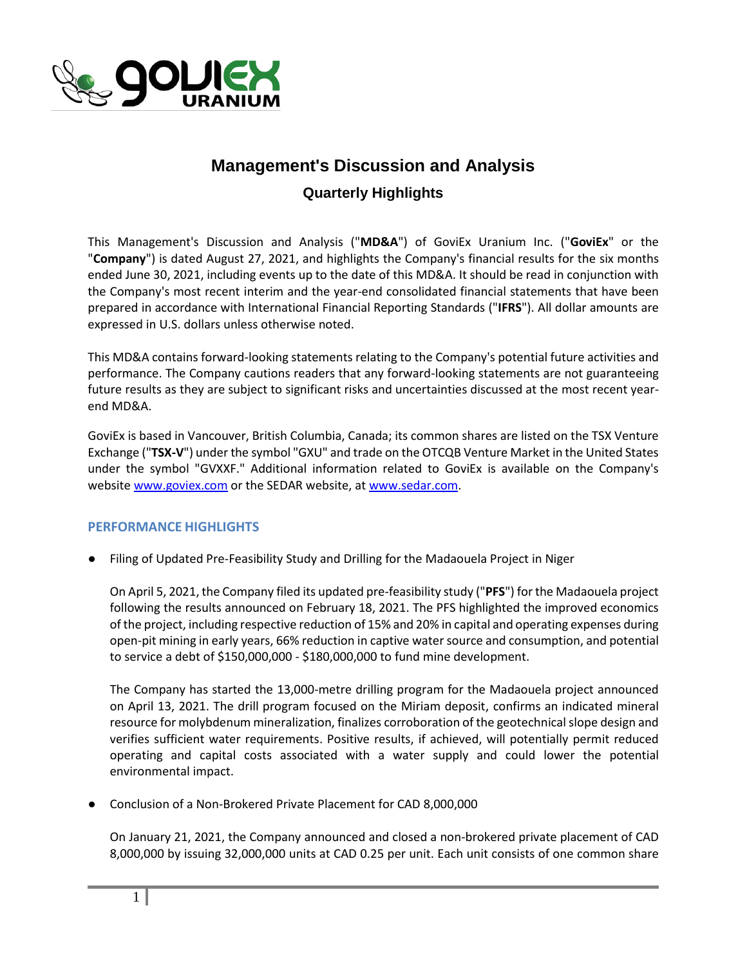

# **Management's Discussion and Analysis**

## **Quarterly Highlights**

This Management's Discussion and Analysis ("**MD&A**") of GoviEx Uranium Inc. ("**GoviEx**" or the "**Company**") is dated August 27, 2021, and highlights the Company's financial results for the six months ended June 30, 2021, including events up to the date of this MD&A. It should be read in conjunction with the Company's most recent interim and the year-end consolidated financial statements that have been prepared in accordance with International Financial Reporting Standards ("**IFRS**"). All dollar amounts are expressed in U.S. dollars unless otherwise noted.

This MD&A contains forward-looking statements relating to the Company's potential future activities and performance. The Company cautions readers that any forward-looking statements are not guaranteeing future results as they are subject to significant risks and uncertainties discussed at the most recent yearend MD&A.

GoviEx is based in Vancouver, British Columbia, Canada; its common shares are listed on the TSX Venture Exchange ("**TSX-V**") under the symbol "GXU" and trade on the OTCQB Venture Market in the United States under the symbol "GVXXF." Additional information related to GoviEx is available on the Company's websit[e www.goviex.com](http://www.goviex.com/) or the SEDAR website, a[t www.sedar.com.](http://www.sedar.com/)

### **PERFORMANCE HIGHLIGHTS**

● Filing of Updated Pre-Feasibility Study and Drilling for the Madaouela Project in Niger

On April 5, 2021, the Company filed its updated pre-feasibility study ("**PFS**") for the Madaouela project following the results announced on February 18, 2021. The PFS highlighted the improved economics of the project, including respective reduction of 15% and 20% in capital and operating expenses during open-pit mining in early years, 66% reduction in captive water source and consumption, and potential to service a debt of \$150,000,000 - \$180,000,000 to fund mine development.

The Company has started the 13,000-metre drilling program for the Madaouela project announced on April 13, 2021. The drill program focused on the Miriam deposit, confirms an indicated mineral resource for molybdenum mineralization, finalizes corroboration of the geotechnical slope design and verifies sufficient water requirements. Positive results, if achieved, will potentially permit reduced operating and capital costs associated with a water supply and could lower the potential environmental impact.

Conclusion of a Non-Brokered Private Placement for CAD 8,000,000

On January 21, 2021, the Company announced and closed a non-brokered private placement of CAD 8,000,000 by issuing 32,000,000 units at CAD 0.25 per unit. Each unit consists of one common share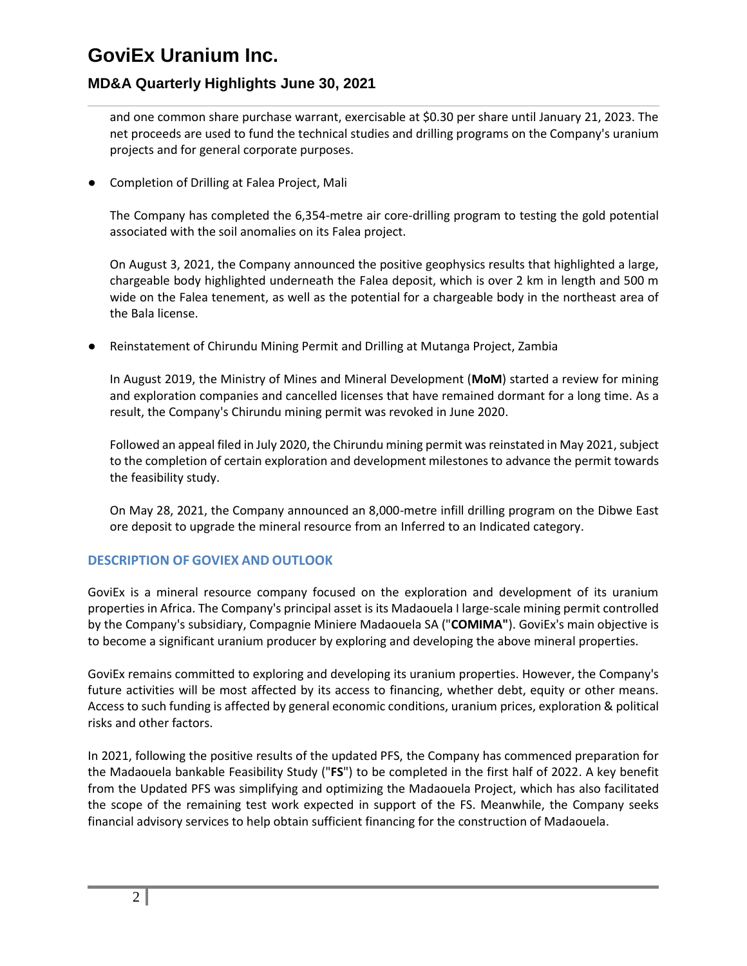# **MD&A Quarterly Highlights June 30, 2021**

and one common share purchase warrant, exercisable at \$0.30 per share until January 21, 2023. The net proceeds are used to fund the technical studies and drilling programs on the Company's uranium projects and for general corporate purposes.

Completion of Drilling at Falea Project, Mali

The Company has completed the 6,354-metre air core-drilling program to testing the gold potential associated with the soil anomalies on its Falea project.

On August 3, 2021, the Company announced the positive geophysics results that highlighted a large, chargeable body highlighted underneath the Falea deposit, which is over 2 km in length and 500 m wide on the Falea tenement, as well as the potential for a chargeable body in the northeast area of the Bala license.

● Reinstatement of Chirundu Mining Permit and Drilling at Mutanga Project, Zambia

In August 2019, the Ministry of Mines and Mineral Development (**MoM**) started a review for mining and exploration companies and cancelled licenses that have remained dormant for a long time. As a result, the Company's Chirundu mining permit was revoked in June 2020.

Followed an appeal filed in July 2020, the Chirundu mining permit was reinstated in May 2021, subject to the completion of certain exploration and development milestones to advance the permit towards the feasibility study.

On May 28, 2021, the Company announced an 8,000-metre infill drilling program on the Dibwe East ore deposit to upgrade the mineral resource from an Inferred to an Indicated category.

### **DESCRIPTION OF GOVIEX AND OUTLOOK**

GoviEx is a mineral resource company focused on the exploration and development of its uranium properties in Africa. The Company's principal asset is its Madaouela I large-scale mining permit controlled by the Company's subsidiary, Compagnie Miniere Madaouela SA ("**COMIMA"**). GoviEx's main objective is to become a significant uranium producer by exploring and developing the above mineral properties.

GoviEx remains committed to exploring and developing its uranium properties. However, the Company's future activities will be most affected by its access to financing, whether debt, equity or other means. Access to such funding is affected by general economic conditions, uranium prices, exploration & political risks and other factors.

In 2021, following the positive results of the updated PFS, the Company has commenced preparation for the Madaouela bankable Feasibility Study ("**FS**") to be completed in the first half of 2022. A key benefit from the Updated PFS was simplifying and optimizing the Madaouela Project, which has also facilitated the scope of the remaining test work expected in support of the FS. Meanwhile, the Company seeks financial advisory services to help obtain sufficient financing for the construction of Madaouela.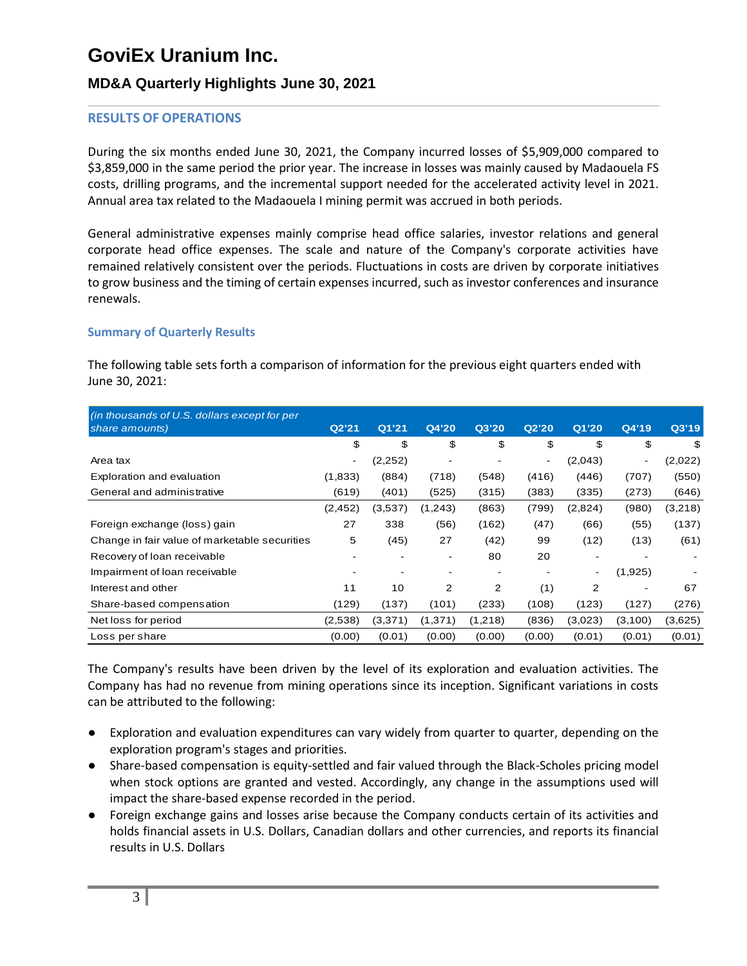# **MD&A Quarterly Highlights June 30, 2021**

#### **RESULTS OF OPERATIONS**

During the six months ended June 30, 2021, the Company incurred losses of \$5,909,000 compared to \$3,859,000 in the same period the prior year. The increase in losses was mainly caused by Madaouela FS costs, drilling programs, and the incremental support needed for the accelerated activity level in 2021. Annual area tax related to the Madaouela I mining permit was accrued in both periods.

General administrative expenses mainly comprise head office salaries, investor relations and general corporate head office expenses. The scale and nature of the Company's corporate activities have remained relatively consistent over the periods. Fluctuations in costs are driven by corporate initiatives to grow business and the timing of certain expenses incurred, such as investor conferences and insurance renewals.

#### **Summary of Quarterly Results**

The following table sets forth a comparison of information for the previous eight quarters ended with June 30, 2021:

| (in thousands of U.S. dollars except for per<br>share amounts) | Q2'21                    | Q1'21    | Q4'20   | Q3'20          | Q2'20  | Q1'20   | Q4'19   | Q3'19   |
|----------------------------------------------------------------|--------------------------|----------|---------|----------------|--------|---------|---------|---------|
|                                                                | \$                       | \$       | \$      | \$             | \$     | \$      | \$      | \$      |
| Area tax                                                       | $\overline{\phantom{a}}$ | (2, 252) |         |                |        | (2,043) | -       | (2,022) |
| Exploration and evaluation                                     | (1,833)                  | (884)    | (718)   | (548)          | (416)  | (446)   | (707)   | (550)   |
| General and administrative                                     | (619)                    | (401)    | (525)   | (315)          | (383)  | (335)   | (273)   | (646)   |
|                                                                | (2, 452)                 | (3,537)  | (1,243) | (863)          | (799)  | (2,824) | (980)   | (3,218) |
| Foreign exchange (loss) gain                                   | 27                       | 338      | (56)    | (162)          | (47)   | (66)    | (55)    | (137)   |
| Change in fair value of marketable securities                  | 5                        | (45)     | 27      | (42)           | 99     | (12)    | (13)    | (61)    |
| Recovery of loan receivable                                    |                          |          |         | 80             | 20     |         |         |         |
| Impairment of loan receivable                                  |                          |          |         |                |        |         | (1,925) |         |
| Interest and other                                             | 11                       | 10       | 2       | $\overline{2}$ | (1)    | 2       |         | 67      |
| Share-based compensation                                       | (129)                    | (137)    | (101)   | (233)          | (108)  | (123)   | (127)   | (276)   |
| Net loss for period                                            | (2,538)                  | (3,371)  | (1,371) | (1,218)        | (836)  | (3,023) | (3,100) | (3,625) |
| Loss per share                                                 | (0.00)                   | (0.01)   | (0.00)  | (0.00)         | (0.00) | (0.01)  | (0.01)  | (0.01)  |

The Company's results have been driven by the level of its exploration and evaluation activities. The Company has had no revenue from mining operations since its inception. Significant variations in costs can be attributed to the following:

- Exploration and evaluation expenditures can vary widely from quarter to quarter, depending on the exploration program's stages and priorities.
- Share-based compensation is equity-settled and fair valued through the Black-Scholes pricing model when stock options are granted and vested. Accordingly, any change in the assumptions used will impact the share-based expense recorded in the period.
- Foreign exchange gains and losses arise because the Company conducts certain of its activities and holds financial assets in U.S. Dollars, Canadian dollars and other currencies, and reports its financial results in U.S. Dollars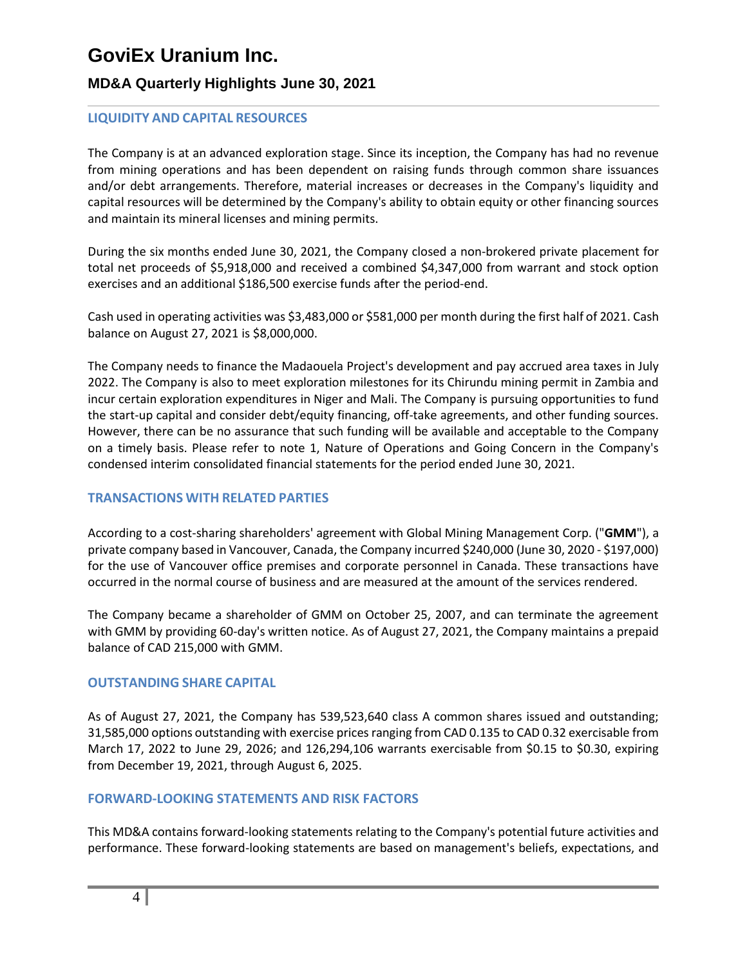# **MD&A Quarterly Highlights June 30, 2021**

## **LIQUIDITY AND CAPITAL RESOURCES**

The Company is at an advanced exploration stage. Since its inception, the Company has had no revenue from mining operations and has been dependent on raising funds through common share issuances and/or debt arrangements. Therefore, material increases or decreases in the Company's liquidity and capital resources will be determined by the Company's ability to obtain equity or other financing sources and maintain its mineral licenses and mining permits.

During the six months ended June 30, 2021, the Company closed a non-brokered private placement for total net proceeds of \$5,918,000 and received a combined \$4,347,000 from warrant and stock option exercises and an additional \$186,500 exercise funds after the period-end.

Cash used in operating activities was \$3,483,000 or \$581,000 per month during the first half of 2021. Cash balance on August 27, 2021 is \$8,000,000.

The Company needs to finance the Madaouela Project's development and pay accrued area taxes in July 2022. The Company is also to meet exploration milestones for its Chirundu mining permit in Zambia and incur certain exploration expenditures in Niger and Mali. The Company is pursuing opportunities to fund the start-up capital and consider debt/equity financing, off-take agreements, and other funding sources. However, there can be no assurance that such funding will be available and acceptable to the Company on a timely basis. Please refer to note 1, Nature of Operations and Going Concern in the Company's condensed interim consolidated financial statements for the period ended June 30, 2021.

### **TRANSACTIONS WITH RELATED PARTIES**

According to a cost-sharing shareholders' agreement with Global Mining Management Corp. ("**GMM**"), a private company based in Vancouver, Canada, the Company incurred \$240,000 (June 30, 2020 - \$197,000) for the use of Vancouver office premises and corporate personnel in Canada. These transactions have occurred in the normal course of business and are measured at the amount of the services rendered.

The Company became a shareholder of GMM on October 25, 2007, and can terminate the agreement with GMM by providing 60-day's written notice. As of August 27, 2021, the Company maintains a prepaid balance of CAD 215,000 with GMM.

### **OUTSTANDING SHARE CAPITAL**

As of August 27, 2021, the Company has 539,523,640 class A common shares issued and outstanding; 31,585,000 options outstanding with exercise prices ranging from CAD 0.135 to CAD 0.32 exercisable from March 17, 2022 to June 29, 2026; and 126,294,106 warrants exercisable from \$0.15 to \$0.30, expiring from December 19, 2021, through August 6, 2025.

### **FORWARD-LOOKING STATEMENTS AND RISK FACTORS**

This MD&A contains forward-looking statements relating to the Company's potential future activities and performance. These forward-looking statements are based on management's beliefs, expectations, and